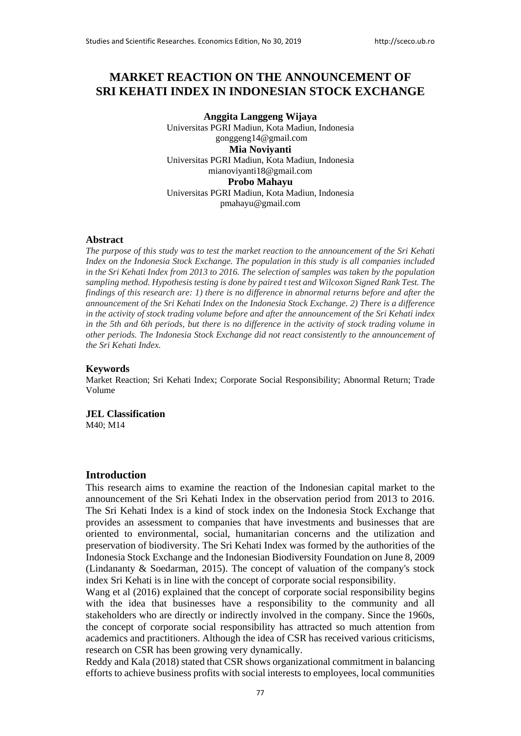# **MARKET REACTION ON THE ANNOUNCEMENT OF SRI KEHATI INDEX IN INDONESIAN STOCK EXCHANGE**

**Anggita Langgeng Wijaya**  Universitas PGRI Madiun, Kota Madiun, Indonesia gonggeng14@gmail.com **Mia Noviyanti**  Universitas PGRI Madiun, Kota Madiun, Indonesia mianoviyanti18@gmail.com **Probo Mahayu** Universitas PGRI Madiun, Kota Madiun, Indonesia pmahayu@gmail.com

#### **Abstract**

*The purpose of this study was to test the market reaction to the announcement of the Sri Kehati Index on the Indonesia Stock Exchange. The population in this study is all companies included in the Sri Kehati Index from 2013 to 2016. The selection of samples was taken by the population sampling method. Hypothesis testing is done by paired t test and Wilcoxon Signed Rank Test. The findings of this research are: 1) there is no difference in abnormal returns before and after the announcement of the Sri Kehati Index on the Indonesia Stock Exchange. 2) There is a difference in the activity of stock trading volume before and after the announcement of the Sri Kehati index in the 5th and 6th periods, but there is no difference in the activity of stock trading volume in other periods. The Indonesia Stock Exchange did not react consistently to the announcement of the Sri Kehati Index.*

#### **Keywords**

Market Reaction; Sri Kehati Index; Corporate Social Responsibility; Abnormal Return; Trade Volume

**JEL Classification** M40; M14

#### **Introduction**

This research aims to examine the reaction of the Indonesian capital market to the announcement of the Sri Kehati Index in the observation period from 2013 to 2016. The Sri Kehati Index is a kind of stock index on the Indonesia Stock Exchange that provides an assessment to companies that have investments and businesses that are oriented to environmental, social, humanitarian concerns and the utilization and preservation of biodiversity. The Sri Kehati Index was formed by the authorities of the Indonesia Stock Exchange and the Indonesian Biodiversity Foundation on June 8, 2009 (Lindananty & Soedarman, 2015). The concept of valuation of the company's stock index Sri Kehati is in line with the concept of corporate social responsibility.

Wang et al (2016) explained that the concept of corporate social responsibility begins with the idea that businesses have a responsibility to the community and all stakeholders who are directly or indirectly involved in the company. Since the 1960s, the concept of corporate social responsibility has attracted so much attention from academics and practitioners. Although the idea of CSR has received various criticisms, research on CSR has been growing very dynamically.

Reddy and Kala (2018) stated that CSR shows organizational commitment in balancing efforts to achieve business profits with social interests to employees, local communities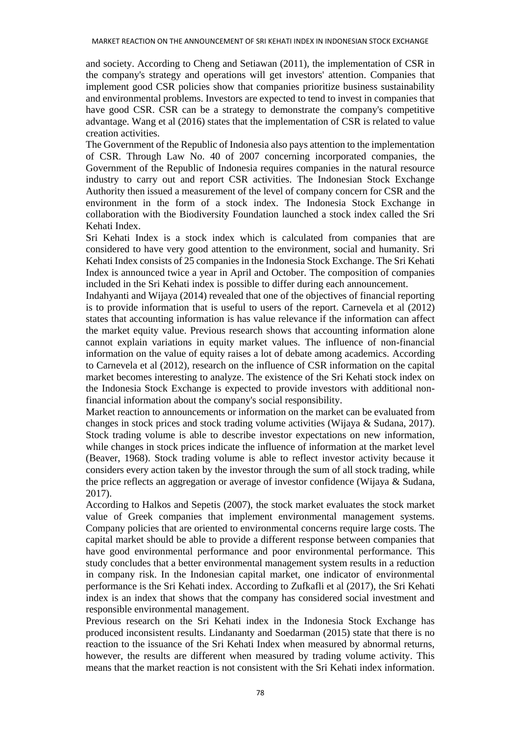and society. According to Cheng and Setiawan (2011), the implementation of CSR in the company's strategy and operations will get investors' attention. Companies that implement good CSR policies show that companies prioritize business sustainability and environmental problems. Investors are expected to tend to invest in companies that have good CSR. CSR can be a strategy to demonstrate the company's competitive advantage. Wang et al (2016) states that the implementation of CSR is related to value creation activities.

The Government of the Republic of Indonesia also pays attention to the implementation of CSR. Through Law No. 40 of 2007 concerning incorporated companies, the Government of the Republic of Indonesia requires companies in the natural resource industry to carry out and report CSR activities. The Indonesian Stock Exchange Authority then issued a measurement of the level of company concern for CSR and the environment in the form of a stock index. The Indonesia Stock Exchange in collaboration with the Biodiversity Foundation launched a stock index called the Sri Kehati Index.

Sri Kehati Index is a stock index which is calculated from companies that are considered to have very good attention to the environment, social and humanity. Sri Kehati Index consists of 25 companies in the Indonesia Stock Exchange. The Sri Kehati Index is announced twice a year in April and October. The composition of companies included in the Sri Kehati index is possible to differ during each announcement.

Indahyanti and Wijaya (2014) revealed that one of the objectives of financial reporting is to provide information that is useful to users of the report. Carnevela et al (2012) states that accounting information is has value relevance if the information can affect the market equity value. Previous research shows that accounting information alone cannot explain variations in equity market values. The influence of non-financial information on the value of equity raises a lot of debate among academics. According to Carnevela et al (2012), research on the influence of CSR information on the capital market becomes interesting to analyze. The existence of the Sri Kehati stock index on the Indonesia Stock Exchange is expected to provide investors with additional nonfinancial information about the company's social responsibility.

Market reaction to announcements or information on the market can be evaluated from changes in stock prices and stock trading volume activities (Wijaya & Sudana, 2017). Stock trading volume is able to describe investor expectations on new information, while changes in stock prices indicate the influence of information at the market level (Beaver, 1968). Stock trading volume is able to reflect investor activity because it considers every action taken by the investor through the sum of all stock trading, while the price reflects an aggregation or average of investor confidence (Wijaya & Sudana, 2017).

According to Halkos and Sepetis (2007), the stock market evaluates the stock market value of Greek companies that implement environmental management systems. Company policies that are oriented to environmental concerns require large costs. The capital market should be able to provide a different response between companies that have good environmental performance and poor environmental performance. This study concludes that a better environmental management system results in a reduction in company risk. In the Indonesian capital market, one indicator of environmental performance is the Sri Kehati index. According to Zufkafli et al (2017), the Sri Kehati index is an index that shows that the company has considered social investment and responsible environmental management.

Previous research on the Sri Kehati index in the Indonesia Stock Exchange has produced inconsistent results. Lindananty and Soedarman (2015) state that there is no reaction to the issuance of the Sri Kehati Index when measured by abnormal returns, however, the results are different when measured by trading volume activity. This means that the market reaction is not consistent with the Sri Kehati index information.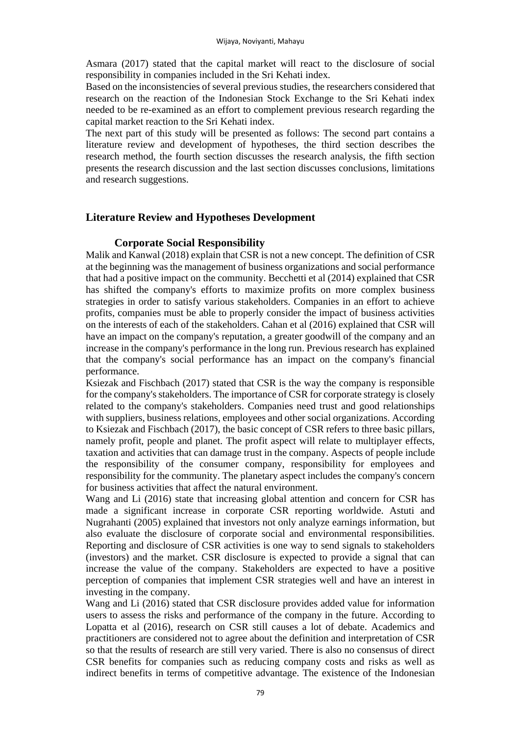Asmara (2017) stated that the capital market will react to the disclosure of social responsibility in companies included in the Sri Kehati index.

Based on the inconsistencies of several previous studies, the researchers considered that research on the reaction of the Indonesian Stock Exchange to the Sri Kehati index needed to be re-examined as an effort to complement previous research regarding the capital market reaction to the Sri Kehati index.

The next part of this study will be presented as follows: The second part contains a literature review and development of hypotheses, the third section describes the research method, the fourth section discusses the research analysis, the fifth section presents the research discussion and the last section discusses conclusions, limitations and research suggestions.

## **Literature Review and Hypotheses Development**

### **Corporate Social Responsibility**

Malik and Kanwal (2018) explain that CSR is not a new concept. The definition of CSR at the beginning was the management of business organizations and social performance that had a positive impact on the community. Becchetti et al (2014) explained that CSR has shifted the company's efforts to maximize profits on more complex business strategies in order to satisfy various stakeholders. Companies in an effort to achieve profits, companies must be able to properly consider the impact of business activities on the interests of each of the stakeholders. Cahan et al (2016) explained that CSR will have an impact on the company's reputation, a greater goodwill of the company and an increase in the company's performance in the long run. Previous research has explained that the company's social performance has an impact on the company's financial performance.

Ksiezak and Fischbach (2017) stated that CSR is the way the company is responsible for the company's stakeholders. The importance of CSR for corporate strategy is closely related to the company's stakeholders. Companies need trust and good relationships with suppliers, business relations, employees and other social organizations. According to Ksiezak and Fischbach (2017), the basic concept of CSR refers to three basic pillars, namely profit, people and planet. The profit aspect will relate to multiplayer effects, taxation and activities that can damage trust in the company. Aspects of people include the responsibility of the consumer company, responsibility for employees and responsibility for the community. The planetary aspect includes the company's concern for business activities that affect the natural environment.

Wang and Li (2016) state that increasing global attention and concern for CSR has made a significant increase in corporate CSR reporting worldwide. Astuti and Nugrahanti (2005) explained that investors not only analyze earnings information, but also evaluate the disclosure of corporate social and environmental responsibilities. Reporting and disclosure of CSR activities is one way to send signals to stakeholders (investors) and the market. CSR disclosure is expected to provide a signal that can increase the value of the company. Stakeholders are expected to have a positive perception of companies that implement CSR strategies well and have an interest in investing in the company.

Wang and Li (2016) stated that CSR disclosure provides added value for information users to assess the risks and performance of the company in the future. According to Lopatta et al (2016), research on CSR still causes a lot of debate. Academics and practitioners are considered not to agree about the definition and interpretation of CSR so that the results of research are still very varied. There is also no consensus of direct CSR benefits for companies such as reducing company costs and risks as well as indirect benefits in terms of competitive advantage. The existence of the Indonesian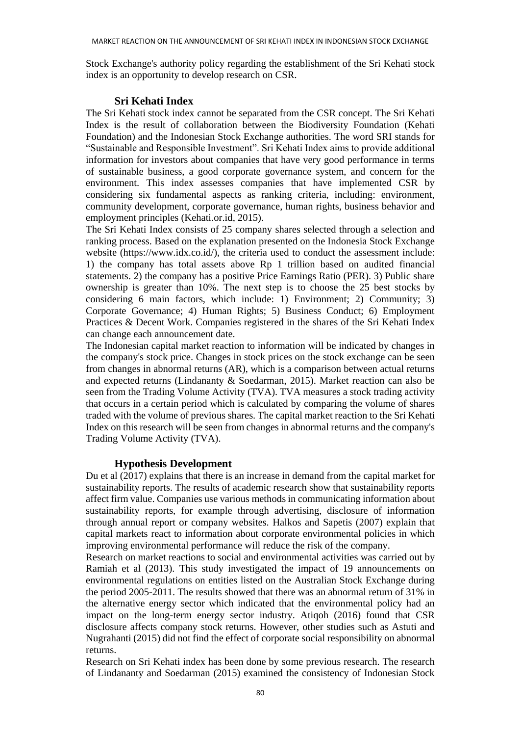Stock Exchange's authority policy regarding the establishment of the Sri Kehati stock index is an opportunity to develop research on CSR.

## **Sri Kehati Index**

The Sri Kehati stock index cannot be separated from the CSR concept. The Sri Kehati Index is the result of collaboration between the Biodiversity Foundation (Kehati Foundation) and the Indonesian Stock Exchange authorities. The word SRI stands for "Sustainable and Responsible Investment". Sri Kehati Index aims to provide additional information for investors about companies that have very good performance in terms of sustainable business, a good corporate governance system, and concern for the environment. This index assesses companies that have implemented CSR by considering six fundamental aspects as ranking criteria, including: environment, community development, corporate governance, human rights, business behavior and employment principles (Kehati.or.id, 2015).

The Sri Kehati Index consists of 25 company shares selected through a selection and ranking process. Based on the explanation presented on the Indonesia Stock Exchange website [\(https://www.idx.co.id/\)](https://www.idx.co.id/), the criteria used to conduct the assessment include: 1) the company has total assets above Rp 1 trillion based on audited financial statements. 2) the company has a positive Price Earnings Ratio (PER). 3) Public share ownership is greater than 10%. The next step is to choose the 25 best stocks by considering 6 main factors, which include: 1) Environment; 2) Community; 3) Corporate Governance; 4) Human Rights; 5) Business Conduct; 6) Employment Practices & Decent Work. Companies registered in the shares of the Sri Kehati Index can change each announcement date.

The Indonesian capital market reaction to information will be indicated by changes in the company's stock price. Changes in stock prices on the stock exchange can be seen from changes in abnormal returns (AR), which is a comparison between actual returns and expected returns (Lindananty & Soedarman, 2015). Market reaction can also be seen from the Trading Volume Activity (TVA). TVA measures a stock trading activity that occurs in a certain period which is calculated by comparing the volume of shares traded with the volume of previous shares. The capital market reaction to the Sri Kehati Index on this research will be seen from changes in abnormal returns and the company's Trading Volume Activity (TVA).

# **Hypothesis Development**

Du et al (2017) explains that there is an increase in demand from the capital market for sustainability reports. The results of academic research show that sustainability reports affect firm value. Companies use various methods in communicating information about sustainability reports, for example through advertising, disclosure of information through annual report or company websites. Halkos and Sapetis (2007) explain that capital markets react to information about corporate environmental policies in which improving environmental performance will reduce the risk of the company.

Research on market reactions to social and environmental activities was carried out by Ramiah et al (2013). This study investigated the impact of 19 announcements on environmental regulations on entities listed on the Australian Stock Exchange during the period 2005-2011. The results showed that there was an abnormal return of 31% in the alternative energy sector which indicated that the environmental policy had an impact on the long-term energy sector industry. Atiqoh (2016) found that CSR disclosure affects company stock returns. However, other studies such as Astuti and Nugrahanti (2015) did not find the effect of corporate social responsibility on abnormal returns.

Research on Sri Kehati index has been done by some previous research. The research of Lindananty and Soedarman (2015) examined the consistency of Indonesian Stock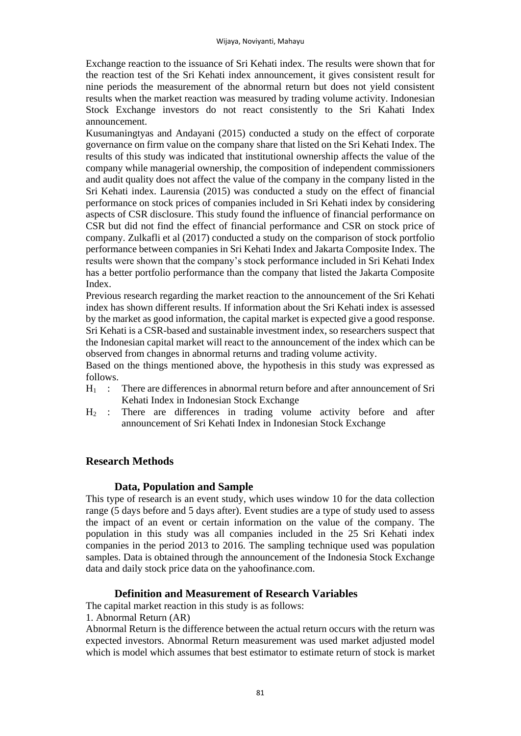Exchange reaction to the issuance of Sri Kehati index. The results were shown that for the reaction test of the Sri Kehati index announcement, it gives consistent result for nine periods the measurement of the abnormal return but does not yield consistent results when the market reaction was measured by trading volume activity. Indonesian Stock Exchange investors do not react consistently to the Sri Kahati Index announcement.

Kusumaningtyas and Andayani (2015) conducted a study on the effect of corporate governance on firm value on the company share that listed on the Sri Kehati Index. The results of this study was indicated that institutional ownership affects the value of the company while managerial ownership, the composition of independent commissioners and audit quality does not affect the value of the company in the company listed in the Sri Kehati index. Laurensia (2015) was conducted a study on the effect of financial performance on stock prices of companies included in Sri Kehati index by considering aspects of CSR disclosure. This study found the influence of financial performance on CSR but did not find the effect of financial performance and CSR on stock price of company. Zulkafli et al (2017) conducted a study on the comparison of stock portfolio performance between companies in Sri Kehati Index and Jakarta Composite Index. The results were shown that the company's stock performance included in Sri Kehati Index has a better portfolio performance than the company that listed the Jakarta Composite Index.

Previous research regarding the market reaction to the announcement of the Sri Kehati index has shown different results. If information about the Sri Kehati index is assessed by the market as good information, the capital market is expected give a good response. Sri Kehati is a CSR-based and sustainable investment index, so researchers suspect that the Indonesian capital market will react to the announcement of the index which can be observed from changes in abnormal returns and trading volume activity.

Based on the things mentioned above, the hypothesis in this study was expressed as follows.

- $H_1$ : There are differences in abnormal return before and after announcement of Sri Kehati Index in Indonesian Stock Exchange
- $H<sub>2</sub>$ : There are differences in trading volume activity before and after announcement of Sri Kehati Index in Indonesian Stock Exchange

## **Research Methods**

## **Data, Population and Sample**

This type of research is an event study, which uses window 10 for the data collection range (5 days before and 5 days after). Event studies are a type of study used to assess the impact of an event or certain information on the value of the company. The population in this study was all companies included in the 25 Sri Kehati index companies in the period 2013 to 2016. The sampling technique used was population samples. Data is obtained through the announcement of the Indonesia Stock Exchange data and daily stock price data on the yahoofinance.com.

## **Definition and Measurement of Research Variables**

The capital market reaction in this study is as follows:

1. Abnormal Return (AR)

Abnormal Return is the difference between the actual return occurs with the return was expected investors. Abnormal Return measurement was used market adjusted model which is model which assumes that best estimator to estimate return of stock is market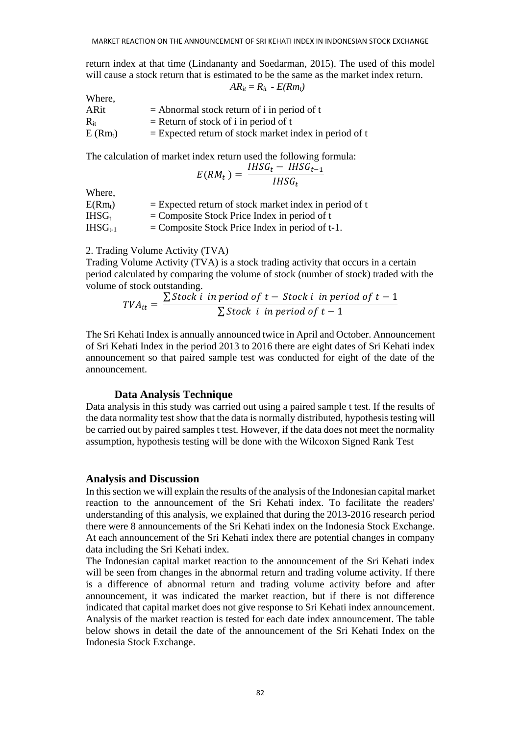return index at that time (Lindananty and Soedarman, 2015). The used of this model will cause a stock return that is estimated to be the same as the market index return.  $AR_{ii} = R_{ii} - E(Rm_i)$ 

| Where.    |                                                          |
|-----------|----------------------------------------------------------|
| ARit      | $=$ Abnormal stock return of i in period of t            |
| $R_{it}$  | $=$ Return of stock of i in period of t                  |
| $E(Rm_t)$ | $=$ Expected return of stock market index in period of t |

The calculation of market index return used the following formula:

$$
E(RM_t) = \frac{IHSG_t - IHSG_{t-1}}{IHSG_t}
$$

**Where** 

| $E(Rm_t)$    | $=$ Expected return of stock market index in period of t |
|--------------|----------------------------------------------------------|
| $IHSG_{t}$   | $=$ Composite Stock Price Index in period of t           |
| $IHSG_{t-1}$ | $=$ Composite Stock Price Index in period of t-1.        |

2. Trading Volume Activity (TVA)

Trading Volume Activity (TVA) is a stock trading activity that occurs in a certain period calculated by comparing the volume of stock (number of stock) traded with the volume of stock outstanding.

$$
TVA_{it} = \frac{\sum Stock \, i \, in \, period \, of \, t - Stock \, i \, in \, period \, of \, t - 1}{\sum Stock \, i \, in \, period \, of \, t - 1}
$$

The Sri Kehati Index is annually announced twice in April and October. Announcement of Sri Kehati Index in the period 2013 to 2016 there are eight dates of Sri Kehati index announcement so that paired sample test was conducted for eight of the date of the announcement.

### **Data Analysis Technique**

Data analysis in this study was carried out using a paired sample t test. If the results of the data normality test show that the data is normally distributed, hypothesis testing will be carried out by paired samples t test. However, if the data does not meet the normality assumption, hypothesis testing will be done with the Wilcoxon Signed Rank Test

### **Analysis and Discussion**

In this section we will explain the results of the analysis of the Indonesian capital market reaction to the announcement of the Sri Kehati index. To facilitate the readers' understanding of this analysis, we explained that during the 2013-2016 research period there were 8 announcements of the Sri Kehati index on the Indonesia Stock Exchange. At each announcement of the Sri Kehati index there are potential changes in company data including the Sri Kehati index.

The Indonesian capital market reaction to the announcement of the Sri Kehati index will be seen from changes in the abnormal return and trading volume activity. If there is a difference of abnormal return and trading volume activity before and after announcement, it was indicated the market reaction, but if there is not difference indicated that capital market does not give response to Sri Kehati index announcement. Analysis of the market reaction is tested for each date index announcement. The table below shows in detail the date of the announcement of the Sri Kehati Index on the Indonesia Stock Exchange.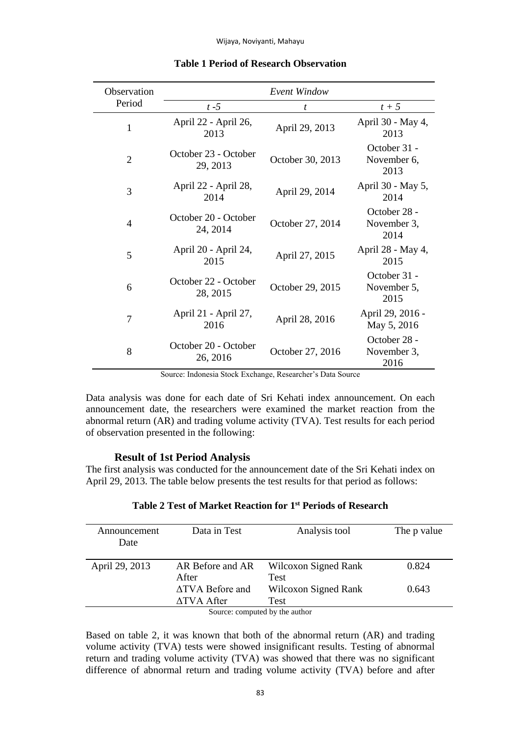| Observation    |                                  | Event Window     |                                     |
|----------------|----------------------------------|------------------|-------------------------------------|
| Period         | $t - 5$                          | t.               | $t+5$                               |
| 1              | April 22 - April 26,<br>2013     | April 29, 2013   | April 30 - May 4,<br>2013           |
| $\overline{2}$ | October 23 - October<br>29, 2013 | October 30, 2013 | October 31 -<br>November 6,<br>2013 |
| 3              | April 22 - April 28,<br>2014     | April 29, 2014   | April 30 - May 5,<br>2014           |
| $\overline{4}$ | October 20 - October<br>24, 2014 | October 27, 2014 | October 28 -<br>November 3.<br>2014 |
| 5              | April 20 - April 24,<br>2015     | April 27, 2015   | April 28 - May 4,<br>2015           |
| 6              | October 22 - October<br>28, 2015 | October 29, 2015 | October 31 -<br>November 5,<br>2015 |
| 7              | April 21 - April 27,<br>2016     | April 28, 2016   | April 29, 2016 -<br>May 5, 2016     |
| 8              | October 20 - October<br>26, 2016 | October 27, 2016 | October 28 -<br>November 3,<br>2016 |

### **Table 1 Period of Research Observation**

Source: Indonesia Stock Exchange, Researcher's Data Source

Data analysis was done for each date of Sri Kehati index announcement. On each announcement date, the researchers were examined the market reaction from the abnormal return (AR) and trading volume activity (TVA). Test results for each period of observation presented in the following:

### **Result of 1st Period Analysis**

The first analysis was conducted for the announcement date of the Sri Kehati index on April 29, 2013. The table below presents the test results for that period as follows:

| Announcement<br>Date           | Data in Test              | Analysis tool                       | The p value |
|--------------------------------|---------------------------|-------------------------------------|-------------|
| April 29, 2013                 | AR Before and AR<br>After | Wilcoxon Signed Rank<br><b>Test</b> | 0.824       |
|                                | ATVA Before and           | Wilcoxon Signed Rank                | 0.643       |
|                                | ATVA After                | Test                                |             |
| Source: computed by the author |                           |                                     |             |

## **Table 2 Test of Market Reaction for 1st Periods of Research**

nputed by

Based on table 2, it was known that both of the abnormal return (AR) and trading volume activity (TVA) tests were showed insignificant results. Testing of abnormal return and trading volume activity (TVA) was showed that there was no significant difference of abnormal return and trading volume activity (TVA) before and after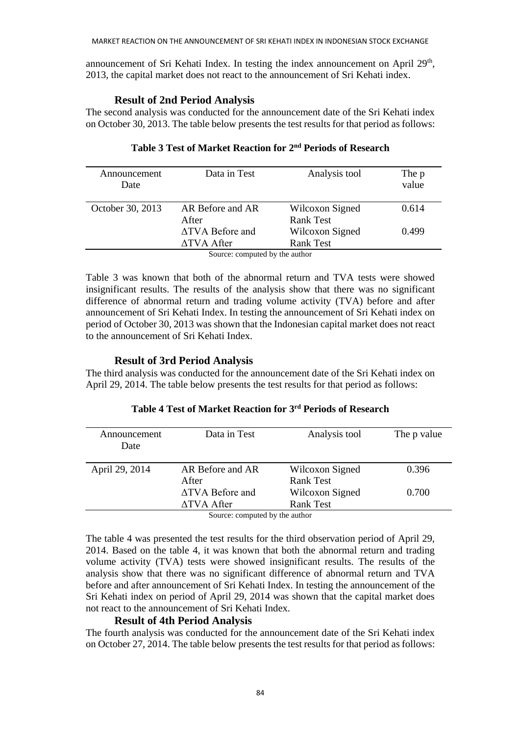announcement of Sri Kehati Index. In testing the index announcement on April 29<sup>th</sup>, 2013, the capital market does not react to the announcement of Sri Kehati index.

### **Result of 2nd Period Analysis**

The second analysis was conducted for the announcement date of the Sri Kehati index on October 30, 2013. The table below presents the test results for that period as follows:

| Announcement<br>Date | Data in Test                   | Analysis tool    | The p<br>value |
|----------------------|--------------------------------|------------------|----------------|
| October 30, 2013     | AR Before and AR               | Wilcoxon Signed  | 0.614          |
|                      | After                          | Rank Test        |                |
|                      | <b>ATVA Before and</b>         | Wilcoxon Signed  | 0.499          |
|                      | ATVA After                     | <b>Rank Test</b> |                |
|                      | Cource: computed by the outbor |                  |                |

# **Table 3 Test of Market Reaction for 2nd Periods of Research**

Source: computed by the author

Table 3 was known that both of the abnormal return and TVA tests were showed insignificant results. The results of the analysis show that there was no significant difference of abnormal return and trading volume activity (TVA) before and after announcement of Sri Kehati Index. In testing the announcement of Sri Kehati index on period of October 30, 2013 was shown that the Indonesian capital market does not react to the announcement of Sri Kehati Index.

## **Result of 3rd Period Analysis**

The third analysis was conducted for the announcement date of the Sri Kehati index on April 29, 2014. The table below presents the test results for that period as follows:

| Announcement<br>Date | Data in Test           | Analysis tool    | The p value |
|----------------------|------------------------|------------------|-------------|
|                      |                        |                  |             |
| April 29, 2014       | AR Before and AR       | Wilcoxon Signed  | 0.396       |
|                      | After                  | <b>Rank Test</b> |             |
|                      | <b>ATVA</b> Before and | Wilcoxon Signed  | 0.700       |
|                      | <b>ATVA After</b>      | <b>Rank Test</b> |             |
|                      |                        |                  |             |

# **Table 4 Test of Market Reaction for 3rd Periods of Research**

Source: computed by the author

The table 4 was presented the test results for the third observation period of April 29, 2014. Based on the table 4, it was known that both the abnormal return and trading volume activity (TVA) tests were showed insignificant results. The results of the analysis show that there was no significant difference of abnormal return and TVA before and after announcement of Sri Kehati Index. In testing the announcement of the Sri Kehati index on period of April 29, 2014 was shown that the capital market does not react to the announcement of Sri Kehati Index.

## **Result of 4th Period Analysis**

The fourth analysis was conducted for the announcement date of the Sri Kehati index on October 27, 2014. The table below presents the test results for that period as follows: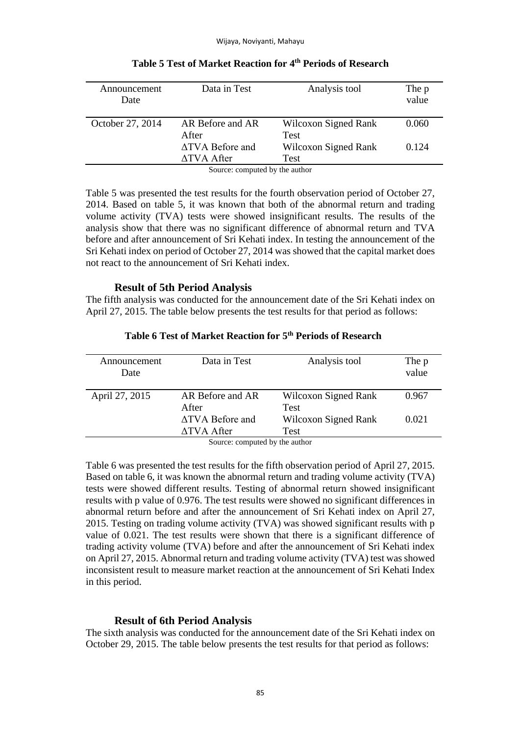| Announcement<br>Date | Data in Test                   | Analysis tool        | The p<br>value |
|----------------------|--------------------------------|----------------------|----------------|
| October 27, 2014     | AR Before and AR               | Wilcoxon Signed Rank | 0.060          |
|                      | After                          | <b>Test</b>          |                |
|                      | <b>ATVA</b> Before and         | Wilcoxon Signed Rank | 0.124          |
|                      | ATVA After                     | Test                 |                |
|                      | Cource: computed by the outbor |                      |                |

# **Table 5 Test of Market Reaction for 4th Periods of Research**

Source: computed by the author

Table 5 was presented the test results for the fourth observation period of October 27, 2014. Based on table 5, it was known that both of the abnormal return and trading volume activity (TVA) tests were showed insignificant results. The results of the analysis show that there was no significant difference of abnormal return and TVA before and after announcement of Sri Kehati index. In testing the announcement of the Sri Kehati index on period of October 27, 2014 was showed that the capital market does not react to the announcement of Sri Kehati index.

### **Result of 5th Period Analysis**

The fifth analysis was conducted for the announcement date of the Sri Kehati index on April 27, 2015. The table below presents the test results for that period as follows:

| Announcement<br>Date | Data in Test                  | Analysis tool        | The p<br>value |
|----------------------|-------------------------------|----------------------|----------------|
| April 27, 2015       | AR Before and AR              | Wilcoxon Signed Rank | 0.967          |
|                      | After                         | <b>Test</b>          |                |
|                      | ATVA Before and               | Wilcoxon Signed Rank | 0.021          |
|                      | ATVA After                    | Test                 |                |
|                      | Course sommited by the outhor |                      |                |

## **Table 6 Test of Market Reaction for 5th Periods of Research**

Source: computed by the author

Table 6 was presented the test results for the fifth observation period of April 27, 2015. Based on table 6, it was known the abnormal return and trading volume activity (TVA) tests were showed different results. Testing of abnormal return showed insignificant results with p value of 0.976. The test results were showed no significant differences in abnormal return before and after the announcement of Sri Kehati index on April 27, 2015. Testing on trading volume activity (TVA) was showed significant results with p value of 0.021. The test results were shown that there is a significant difference of trading activity volume (TVA) before and after the announcement of Sri Kehati index on April 27, 2015. Abnormal return and trading volume activity (TVA) test was showed inconsistent result to measure market reaction at the announcement of Sri Kehati Index in this period.

## **Result of 6th Period Analysis**

The sixth analysis was conducted for the announcement date of the Sri Kehati index on October 29, 2015. The table below presents the test results for that period as follows: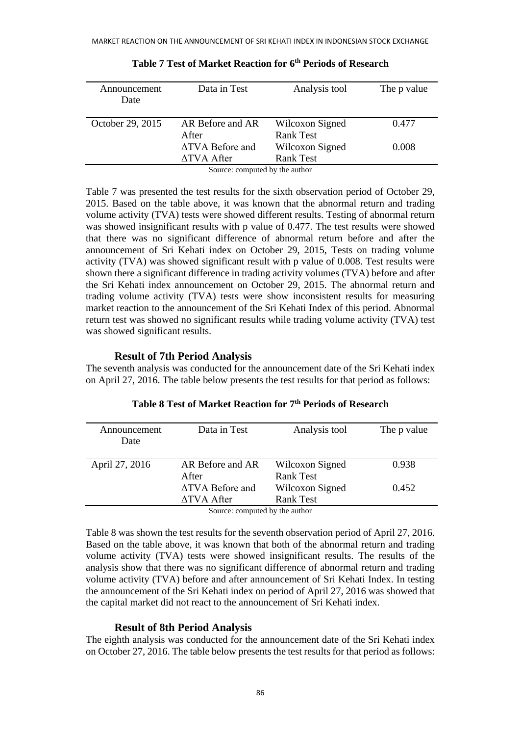| Announcement<br>Date | Data in Test                            | Analysis tool                       | The p value |
|----------------------|-----------------------------------------|-------------------------------------|-------------|
| October 29, 2015     | AR Before and AR<br>After               | Wilcoxon Signed<br><b>Rank Test</b> | 0.477       |
|                      | ATVA Before and<br>ATVA After           | Wilcoxon Signed<br><b>Rank Test</b> | 0.008       |
|                      | Concert commented builded and beautiful |                                     |             |

## **Table 7 Test of Market Reaction for 6th Periods of Research**

Source: computed by the author

Table 7 was presented the test results for the sixth observation period of October 29, 2015. Based on the table above, it was known that the abnormal return and trading volume activity (TVA) tests were showed different results. Testing of abnormal return was showed insignificant results with p value of 0.477. The test results were showed that there was no significant difference of abnormal return before and after the announcement of Sri Kehati index on October 29, 2015, Tests on trading volume activity (TVA) was showed significant result with p value of 0.008. Test results were shown there a significant difference in trading activity volumes (TVA) before and after the Sri Kehati index announcement on October 29, 2015. The abnormal return and trading volume activity (TVA) tests were show inconsistent results for measuring market reaction to the announcement of the Sri Kehati Index of this period. Abnormal return test was showed no significant results while trading volume activity (TVA) test was showed significant results.

### **Result of 7th Period Analysis**

The seventh analysis was conducted for the announcement date of the Sri Kehati index on April 27, 2016. The table below presents the test results for that period as follows:

| Data in Test                         | Analysis tool                       | The p value                                     |
|--------------------------------------|-------------------------------------|-------------------------------------------------|
| AR Before and AR<br>After            | Wilcoxon Signed<br><b>Rank Test</b> | 0.938                                           |
| <b>ATVA</b> Before and<br>ATVA After | Wilcoxon Signed<br><b>Rank Test</b> | 0.452                                           |
|                                      |                                     | $\alpha$ and $\alpha$ and $\alpha$ and $\alpha$ |

# **Table 8 Test of Market Reaction for 7th Periods of Research**

Source: computed by the author

Table 8 was shown the test results for the seventh observation period of April 27, 2016. Based on the table above, it was known that both of the abnormal return and trading volume activity (TVA) tests were showed insignificant results. The results of the analysis show that there was no significant difference of abnormal return and trading volume activity (TVA) before and after announcement of Sri Kehati Index. In testing the announcement of the Sri Kehati index on period of April 27, 2016 was showed that the capital market did not react to the announcement of Sri Kehati index.

## **Result of 8th Period Analysis**

The eighth analysis was conducted for the announcement date of the Sri Kehati index on October 27, 2016. The table below presents the test results for that period as follows: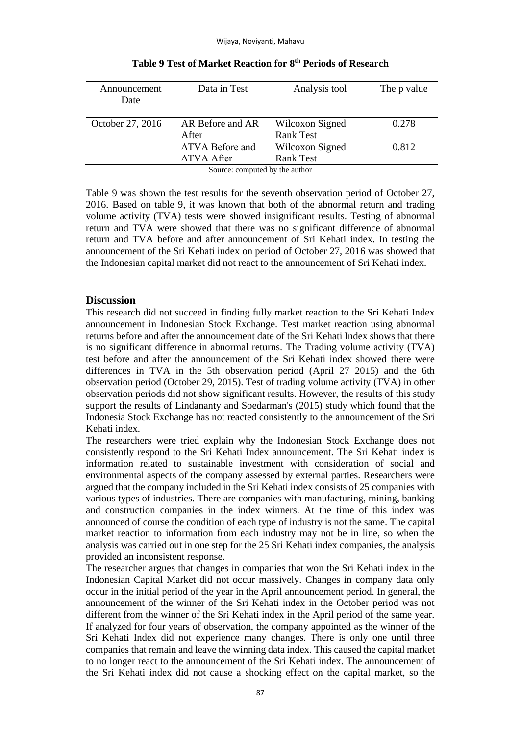| Announcement     | Data in Test                       | Analysis tool    | The p value |
|------------------|------------------------------------|------------------|-------------|
| Date             |                                    |                  |             |
|                  |                                    |                  |             |
| October 27, 2016 | AR Before and AR                   | Wilcoxon Signed  | 0.278       |
|                  | After                              | <b>Rank Test</b> |             |
|                  | <b>ATVA Before and</b>             | Wilcoxon Signed  | 0.812       |
|                  | $\triangle$ TVA After              | <b>Rank Test</b> |             |
|                  | $\alpha$ and $\alpha$ and $\alpha$ |                  |             |

**Table 9 Test of Market Reaction for 8th Periods of Research**

Source: computed by the author

Table 9 was shown the test results for the seventh observation period of October 27, 2016. Based on table 9, it was known that both of the abnormal return and trading volume activity (TVA) tests were showed insignificant results. Testing of abnormal return and TVA were showed that there was no significant difference of abnormal return and TVA before and after announcement of Sri Kehati index. In testing the announcement of the Sri Kehati index on period of October 27, 2016 was showed that the Indonesian capital market did not react to the announcement of Sri Kehati index.

### **Discussion**

This research did not succeed in finding fully market reaction to the Sri Kehati Index announcement in Indonesian Stock Exchange. Test market reaction using abnormal returns before and after the announcement date of the Sri Kehati Index shows that there is no significant difference in abnormal returns. The Trading volume activity (TVA) test before and after the announcement of the Sri Kehati index showed there were differences in TVA in the 5th observation period (April 27 2015) and the 6th observation period (October 29, 2015). Test of trading volume activity (TVA) in other observation periods did not show significant results. However, the results of this study support the results of Lindananty and Soedarman's (2015) study which found that the Indonesia Stock Exchange has not reacted consistently to the announcement of the Sri Kehati index.

The researchers were tried explain why the Indonesian Stock Exchange does not consistently respond to the Sri Kehati Index announcement. The Sri Kehati index is information related to sustainable investment with consideration of social and environmental aspects of the company assessed by external parties. Researchers were argued that the company included in the Sri Kehati index consists of 25 companies with various types of industries. There are companies with manufacturing, mining, banking and construction companies in the index winners. At the time of this index was announced of course the condition of each type of industry is not the same. The capital market reaction to information from each industry may not be in line, so when the analysis was carried out in one step for the 25 Sri Kehati index companies, the analysis provided an inconsistent response.

The researcher argues that changes in companies that won the Sri Kehati index in the Indonesian Capital Market did not occur massively. Changes in company data only occur in the initial period of the year in the April announcement period. In general, the announcement of the winner of the Sri Kehati index in the October period was not different from the winner of the Sri Kehati index in the April period of the same year. If analyzed for four years of observation, the company appointed as the winner of the Sri Kehati Index did not experience many changes. There is only one until three companies that remain and leave the winning data index. This caused the capital market to no longer react to the announcement of the Sri Kehati index. The announcement of the Sri Kehati index did not cause a shocking effect on the capital market, so the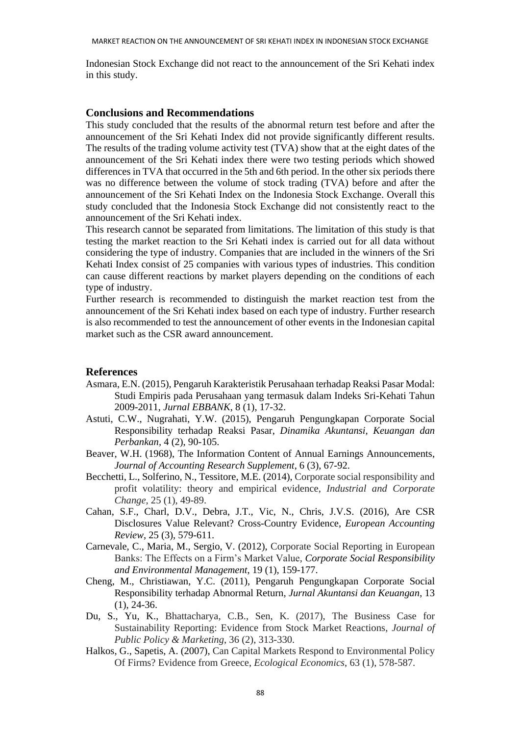Indonesian Stock Exchange did not react to the announcement of the Sri Kehati index in this study.

### **Conclusions and Recommendations**

This study concluded that the results of the abnormal return test before and after the announcement of the Sri Kehati Index did not provide significantly different results. The results of the trading volume activity test (TVA) show that at the eight dates of the announcement of the Sri Kehati index there were two testing periods which showed differences in TVA that occurred in the 5th and 6th period. In the other six periods there was no difference between the volume of stock trading (TVA) before and after the announcement of the Sri Kehati Index on the Indonesia Stock Exchange. Overall this study concluded that the Indonesia Stock Exchange did not consistently react to the announcement of the Sri Kehati index.

This research cannot be separated from limitations. The limitation of this study is that testing the market reaction to the Sri Kehati index is carried out for all data without considering the type of industry. Companies that are included in the winners of the Sri Kehati Index consist of 25 companies with various types of industries. This condition can cause different reactions by market players depending on the conditions of each type of industry.

Further research is recommended to distinguish the market reaction test from the announcement of the Sri Kehati index based on each type of industry. Further research is also recommended to test the announcement of other events in the Indonesian capital market such as the CSR award announcement.

### **References**

- Asmara, E.N. (2015), Pengaruh Karakteristik Perusahaan terhadap Reaksi Pasar Modal: Studi Empiris pada Perusahaan yang termasuk dalam Indeks Sri-Kehati Tahun 2009-2011, *Jurnal EBBANK*, 8 (1), 17-32.
- Astuti, C.W., Nugrahati, Y.W. (2015), Pengaruh Pengungkapan Corporate Social Responsibility terhadap Reaksi Pasar, *Dinamika Akuntansi, Keuangan dan Perbankan,* 4 (2), 90-105.
- Beaver, W.H. (1968), The Information Content of Annual Earnings Announcements, *Journal of Accounting Research Supplement*, 6 (3), 67-92.
- Becchetti, L., Solferino, N., Tessitore, M.E. (2014), Corporate social responsibility and profit volatility: theory and empirical evidence, *Industrial and Corporate Change*, 25 (1), 49-89.
- Cahan, S.F., Charl, D.V., Debra, J.T., Vic, N., Chris, J.V.S. (2016), Are CSR Disclosures Value Relevant? Cross-Country Evidence, *European Accounting Review*, 25 (3), 579-611.
- Carnevale, C., Maria, M., Sergio, V. (2012), Corporate Social Reporting in European Banks: The Effects on a Firm's Market Value, *Corporate Social Responsibility and Environmental Management*, 19 (1), 159-177.
- Cheng, M., Christiawan, Y.C. (2011), Pengaruh Pengungkapan Corporate Social Responsibility terhadap Abnormal Return, *Jurnal Akuntansi dan Keuangan*, 13 (1), 24-36.
- Du, S., Yu, K., Bhattacharya, C.B., Sen, K. (2017), The Business Case for Sustainability Reporting: Evidence from Stock Market Reactions, *Journal of Public Policy & Marketing*, 36 (2), 313-330.
- Halkos, G., Sapetis, A. (2007), Can Capital Markets Respond to Environmental Policy Of Firms? Evidence from Greece, *Ecological Economics*, 63 (1), 578-587.